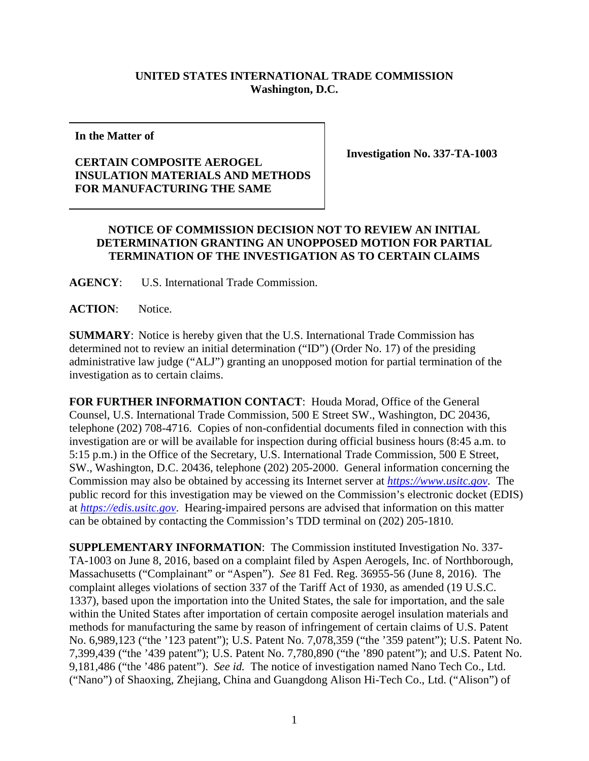## **UNITED STATES INTERNATIONAL TRADE COMMISSION Washington, D.C.**

**In the Matter of**

## **CERTAIN COMPOSITE AEROGEL INSULATION MATERIALS AND METHODS FOR MANUFACTURING THE SAME**

**Investigation No. 337-TA-1003**

## **NOTICE OF COMMISSION DECISION NOT TO REVIEW AN INITIAL DETERMINATION GRANTING AN UNOPPOSED MOTION FOR PARTIAL TERMINATION OF THE INVESTIGATION AS TO CERTAIN CLAIMS**

**AGENCY**: U.S. International Trade Commission.

**ACTION**: Notice.

**SUMMARY**: Notice is hereby given that the U.S. International Trade Commission has determined not to review an initial determination ("ID") (Order No. 17) of the presiding administrative law judge ("ALJ") granting an unopposed motion for partial termination of the investigation as to certain claims.

**FOR FURTHER INFORMATION CONTACT**: Houda Morad, Office of the General Counsel, U.S. International Trade Commission, 500 E Street SW., Washington, DC 20436, telephone (202) 708-4716. Copies of non-confidential documents filed in connection with this investigation are or will be available for inspection during official business hours (8:45 a.m. to 5:15 p.m.) in the Office of the Secretary, U.S. International Trade Commission, 500 E Street, SW., Washington, D.C. 20436, telephone (202) 205-2000. General information concerning the Commission may also be obtained by accessing its Internet server at *[https://www.usitc.gov](https://www.usitc.gov/)*. The public record for this investigation may be viewed on the Commission's electronic docket (EDIS) at *[https://edis.usitc.gov](http://edis.usitc.gov/)*. Hearing-impaired persons are advised that information on this matter can be obtained by contacting the Commission's TDD terminal on (202) 205-1810.

**SUPPLEMENTARY INFORMATION**: The Commission instituted Investigation No. 337- TA-1003 on June 8, 2016, based on a complaint filed by Aspen Aerogels, Inc. of Northborough, Massachusetts ("Complainant" or "Aspen"). *See* 81 Fed. Reg. 36955-56 (June 8, 2016). The complaint alleges violations of section 337 of the Tariff Act of 1930, as amended (19 U.S.C. 1337), based upon the importation into the United States, the sale for importation, and the sale within the United States after importation of certain composite aerogel insulation materials and methods for manufacturing the same by reason of infringement of certain claims of U.S. Patent No. 6,989,123 ("the '123 patent"); U.S. Patent No. 7,078,359 ("the '359 patent"); U.S. Patent No. 7,399,439 ("the '439 patent"); U.S. Patent No. 7,780,890 ("the '890 patent"); and U.S. Patent No. 9,181,486 ("the '486 patent"). *See id.* The notice of investigation named Nano Tech Co., Ltd. ("Nano") of Shaoxing, Zhejiang, China and Guangdong Alison Hi-Tech Co., Ltd. ("Alison") of